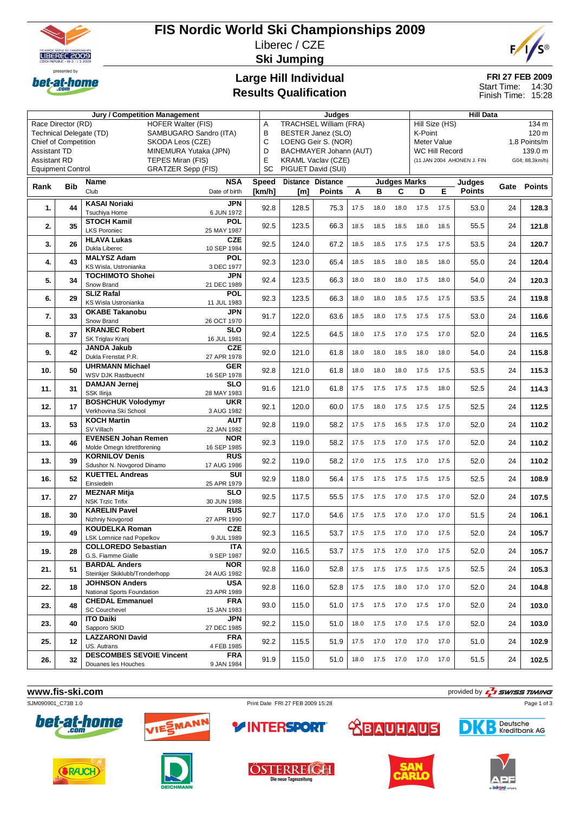

Chief of Competition

Race Director (RD) HOFER Walter (FIS)<br>Technical Delegate (TD) SAMBUGARO Sand

SAMBUGARO Sandro (ITA)<br>SKODA Leos (CZE)

# **FIS Nordic World Ski Championships 2009** Liberec / CZE **Ski Jumping**



**FRI 27 FEB 2009** 14:30 Finish Time: 15:28 Start Time:

Hill Size (HS) 134 m<br>K-Point 120 m

Meter Value 1.8 Points/m WC Hill Record 139.0 m

# **Large Hill Individual Results Qualification**

**Jury / Competition Management 1986** and 1991 and 1992 and 1992 and 1993 and 1993 and 1993 and 1993 and 1993 and 1993 and 1993 and 1993 and 1993 and 1993 and 1993 and 1993 and 1993 and 1993 and 1993 and 1993 and 1993 and 1

A TRACHSEL William (FRA)<br>B BESTER Janez (SLO) B BESTER Janez (SLO)<br>C LOENG Geir S. (NOR) LOENG Geir S. (NOR)

| Assistant TD<br><b>Assistant RD</b><br><b>Equipment Control</b> |            |                                                     | MINEMURA Yutaka (JPN)<br>TEPES Miran (FIS)<br><b>GRATZER Sepp (FIS)</b> | D<br>E<br>SC      |       | BACHMAYER Johann (AUT)<br><b>KRAML Vaclav (CZE)</b><br>PIGUET David (SUI) |      |             |      | <b>WC Hill Record</b><br>(11 JAN 2004 AHONEN J, FIN |               |               |               | 139.0 m<br>G04; 88.3km/h) |  |
|-----------------------------------------------------------------|------------|-----------------------------------------------------|-------------------------------------------------------------------------|-------------------|-------|---------------------------------------------------------------------------|------|-------------|------|-----------------------------------------------------|---------------|---------------|---------------|---------------------------|--|
|                                                                 |            | Name                                                | Speed                                                                   | Distance Distance |       | <b>Judges Marks</b>                                                       |      |             |      |                                                     | Judges        |               |               |                           |  |
| Rank                                                            | <b>Bib</b> | Club                                                | <b>NSA</b><br>Date of birth                                             | [km/h]            | [m]   | <b>Points</b>                                                             | A    | в           | C    | D                                                   | Е             | <b>Points</b> | Gate          | <b>Points</b>             |  |
|                                                                 | 44         | <b>KASAI Noriaki</b>                                | <b>JPN</b>                                                              | 92.8              | 128.5 | 75.3                                                                      | 17.5 | 18.0        | 18.0 | 17.5                                                | 17.5          | 53.0          | 24            | 128.3                     |  |
| 1.                                                              |            | <b>Tsuchiva Home</b>                                | 6 JUN 1972                                                              |                   |       |                                                                           |      |             |      |                                                     |               |               |               |                           |  |
| 2.                                                              | 35         | <b>STOCH Kamil</b>                                  | <b>POL</b>                                                              | 92.5              | 123.5 | 66.3                                                                      | 18.5 | 18.5        | 18.5 | 18.0                                                | 18.5          | 55.5          | 24            | 121.8                     |  |
|                                                                 |            | <b>LKS Poroniec</b>                                 | 25 MAY 1987                                                             |                   |       |                                                                           |      |             |      |                                                     |               |               |               |                           |  |
| 3.                                                              | 26         | <b>HLAVA Lukas</b><br>Dukla Liberec                 | <b>CZE</b><br>10 SEP 1984                                               | 92.5              | 124.0 | 67.2                                                                      | 18.5 | 18.5        | 17.5 | 17.5                                                | 17.5          | 53.5          | 24            | 120.7                     |  |
|                                                                 |            | <b>MALYSZ Adam</b>                                  | <b>POL</b>                                                              |                   |       |                                                                           |      |             |      |                                                     |               |               |               |                           |  |
| 4.                                                              | 43         | KS Wisla, Ustronianka                               | 3 DEC 1977                                                              | 92.3              | 123.0 | 65.4                                                                      | 18.5 | 18.5        | 18.0 | 18.5                                                | 18.0          | 55.0          | 24            | 120.4                     |  |
|                                                                 |            | <b>TOCHIMOTO Shohei</b>                             | <b>JPN</b>                                                              |                   |       |                                                                           |      |             |      |                                                     |               |               |               |                           |  |
| 5.                                                              | 34         | Snow Brand                                          | 21 DEC 1989                                                             | 92.4              | 123.5 | 66.3                                                                      | 18.0 | 18.0        | 18.0 | 17.5                                                | 18.0          | 54.0          | 24            | 120.3                     |  |
| 6.                                                              | 29         | <b>SLIZ Rafal</b>                                   | <b>POL</b>                                                              | 92.3              | 123.5 | 66.3                                                                      | 18.0 | 18.0        | 18.5 | 17.5                                                | 17.5          | 53.5          | 24            | 119.8                     |  |
|                                                                 |            | KS Wisla Ustronianka                                | 11 JUL 1983                                                             |                   |       |                                                                           |      |             |      |                                                     |               |               |               |                           |  |
| 7.                                                              | 33         | <b>OKABE Takanobu</b>                               | <b>JPN</b>                                                              | 91.7              | 122.0 | 63.6                                                                      | 18.5 | 18.0        | 17.5 | 17.5                                                | 17.5          | 53.0          | 24            | 116.6                     |  |
|                                                                 |            | Snow Brand                                          | 26 OCT 1970                                                             |                   |       |                                                                           |      |             |      |                                                     |               |               |               |                           |  |
| 8.                                                              | 37         | <b>KRANJEC Robert</b>                               | <b>SLO</b>                                                              | 92.4              | 122.5 | 64.5                                                                      | 18.0 | 17.5        | 17.0 | 17.5                                                | 17.0          | 52.0          | 24            | 116.5                     |  |
|                                                                 |            | SK Triglav Kranj                                    | 16 JUL 1981                                                             |                   |       |                                                                           |      |             |      |                                                     |               |               |               |                           |  |
| 9.                                                              | 42         | <b>JANDA Jakub</b>                                  | <b>CZE</b>                                                              | 92.0              | 121.0 | 61.8                                                                      | 18.0 | 18.0        | 18.5 | 18.0                                                | 18.0          | 54.0          | 24            | 115.8                     |  |
|                                                                 |            | Dukla Frenstat P.R.                                 | 27 APR 1978                                                             |                   |       |                                                                           |      |             |      |                                                     |               |               |               |                           |  |
| 10.                                                             | 50         | <b>UHRMANN Michael</b><br><b>WSV DJK Rastbuechl</b> | <b>GER</b>                                                              | 92.8              | 121.0 | 61.8                                                                      | 18.0 | 18.0        | 18.0 | 17.5                                                | 17.5          | 53.5          | 24            | 115.3                     |  |
|                                                                 |            |                                                     | 16 SEP 1978<br><b>SLO</b>                                               |                   |       |                                                                           |      |             |      |                                                     |               |               |               |                           |  |
| 11.                                                             | 31         | <b>DAMJAN Jernej</b><br><b>SSK Ilirija</b>          | 28 MAY 1983                                                             | 91.6              | 121.0 | 61.8                                                                      | 17.5 | 17.5        | 17.5 | 17.5                                                | 18.0          | 52.5          | 24            | 114.3                     |  |
|                                                                 |            | <b>BOSHCHUK Volodymvr</b>                           | <b>UKR</b>                                                              |                   |       |                                                                           |      |             |      |                                                     |               |               |               |                           |  |
| $\overline{\phantom{a}}$                                        |            |                                                     |                                                                         | $\sim$ $\sim$     | 1000  | $\sim$ $\sim$                                                             |      | $177$ $188$ |      |                                                     | $\rightarrow$ | $\sim$ $\sim$ | $\sim$ $\sim$ | $\overline{\phantom{a}}$  |  |

K-Point

|      | <b>Equipment Control</b><br><b>GRATZER Sepp (FIS)</b> |                                             |                           |       | PIGUET David (SUI)       |               |      |                     |                     |      |      |               |    |             |
|------|-------------------------------------------------------|---------------------------------------------|---------------------------|-------|--------------------------|---------------|------|---------------------|---------------------|------|------|---------------|----|-------------|
|      |                                                       | Name                                        | <b>NSA</b>                | Speed | <b>Distance Distance</b> |               |      |                     | <b>Judges Marks</b> |      |      | Judges        |    |             |
| Rank | <b>Bib</b>                                            | Club                                        | Date of birth             |       | [m]                      | <b>Points</b> | A    | в                   | C                   | D    | Е    | <b>Points</b> |    | Gate Points |
|      |                                                       | <b>KASAI Noriaki</b>                        | <b>JPN</b>                |       |                          |               |      |                     |                     |      |      |               |    |             |
| 1.   | 44                                                    | Tsuchiya Home                               | 6 JUN 1972                | 92.8  | 128.5                    | 75.3          | 17.5 | 18.0                | 18.0                | 17.5 | 17.5 | 53.0          | 24 | 128.3       |
|      |                                                       | <b>STOCH Kamil</b>                          | <b>POL</b>                |       |                          |               |      |                     |                     |      |      |               |    |             |
| 2.   | 35                                                    | <b>LKS Poroniec</b>                         | 25 MAY 1987               | 92.5  | 123.5                    | 66.3          | 18.5 | 18.5                | 18.5                | 18.0 | 18.5 | 55.5          | 24 | 121.8       |
|      |                                                       | <b>HLAVA Lukas</b>                          | <b>CZE</b>                | 92.5  | 124.0                    |               | 18.5 |                     | 17.5                |      |      |               | 24 |             |
| 3.   | 26                                                    | Dukla Liberec                               | 10 SEP 1984               |       |                          | 67.2          |      | 18.5                |                     | 17.5 | 17.5 | 53.5          |    | 120.7       |
| 4.   | 43                                                    | <b>MALYSZ Adam</b>                          | <b>POL</b>                | 92.3  | 123.0                    | 65.4          | 18.5 | 18.5                | 18.0                | 18.5 | 18.0 | 55.0          | 24 | 120.4       |
|      |                                                       | KS Wisla, Ustronianka                       | 3 DEC 1977                |       |                          |               |      |                     |                     |      |      |               |    |             |
| 5.   | 34                                                    | <b>TOCHIMOTO Shohei</b>                     | JPN                       | 92.4  | 123.5                    | 66.3          | 18.0 | 18.0                | 18.0                | 17.5 | 18.0 | 54.0          | 24 | 120.3       |
|      |                                                       | Snow Brand                                  | 21 DEC 1989               |       |                          |               |      |                     |                     |      |      |               |    |             |
| 6.   | 29                                                    | <b>SLIZ Rafal</b><br>KS Wisla Ustronianka   | <b>POL</b><br>11 JUL 1983 | 92.3  | 123.5                    | 66.3          | 18.0 | 18.0                | 18.5                | 17.5 | 17.5 | 53.5          | 24 | 119.8       |
|      |                                                       | <b>OKABE Takanobu</b>                       | JPN                       |       |                          |               |      |                     |                     |      |      |               |    |             |
| 7.   | 33                                                    | Snow Brand                                  | 26 OCT 1970               | 91.7  | 122.0                    | 63.6          | 18.5 | 18.0                | 17.5                | 17.5 | 17.5 | 53.0          | 24 | 116.6       |
|      |                                                       | <b>KRANJEC Robert</b>                       | <b>SLO</b>                |       |                          |               |      |                     |                     |      |      |               |    |             |
| 8.   | 37                                                    | SK Triglav Kranj                            | 16 JUL 1981               | 92.4  | 122.5                    | 64.5          | 18.0 | 17.5                | 17.0                | 17.5 | 17.0 | 52.0          | 24 | 116.5       |
|      |                                                       | <b>JANDA Jakub</b>                          | <b>CZE</b>                |       |                          |               |      |                     |                     |      |      |               |    |             |
| 9.   | 42                                                    | Dukla Frenstat P.R.                         | 27 APR 1978               | 92.0  | 121.0                    | 61.8          | 18.0 | 18.0                | 18.5                | 18.0 | 18.0 | 54.0          | 24 | 115.8       |
| 10.  | 50                                                    | <b>UHRMANN Michael</b>                      | <b>GER</b>                | 92.8  | 121.0                    | 61.8          | 18.0 | 18.0                | 18.0                | 17.5 | 17.5 | 53.5          | 24 | 115.3       |
|      |                                                       | WSV DJK Rastbuechl                          | 16 SEP 1978               |       |                          |               |      |                     |                     |      |      |               |    |             |
| 11.  | 31                                                    | DAMJAN Jernej                               | <b>SLO</b>                | 91.6  | 121.0                    | 61.8          | 17.5 | 17.5                | 17.5                | 17.5 | 18.0 | 52.5          | 24 | 114.3       |
|      |                                                       | SSK Ilirija                                 | 28 MAY 1983               |       |                          |               |      |                     |                     |      |      |               |    |             |
| 12.  | 17                                                    | <b>BOSHCHUK Volodymyr</b>                   | <b>UKR</b><br>3 AUG 1982  | 92.1  | 120.0                    | 60.0          | 17.5 | 18.0                | 17.5                | 17.5 | 17.5 | 52.5          | 24 | 112.5       |
|      |                                                       | Verkhovina Ski School<br><b>KOCH Martin</b> | <b>AUT</b>                |       |                          |               |      |                     |                     |      |      |               |    |             |
| 13.  | 53                                                    | SV Villach                                  | 22 JAN 1982               | 92.8  | 119.0                    | 58.2          | 17.5 | 17.5                | 16.5                | 17.5 | 17.0 | 52.0          | 24 | 110.2       |
|      |                                                       | <b>EVENSEN Johan Remen</b>                  | <b>NOR</b>                |       |                          |               |      |                     |                     |      |      |               |    |             |
| 13.  | 46                                                    | Molde Omegn Idrettforening                  | 16 SEP 1985               | 92.3  | 119.0                    | 58.2          | 17.5 | 17.5                | 17.0                | 17.5 | 17.0 | 52.0          | 24 | 110.2       |
|      |                                                       | <b>KORNILOV Denis</b>                       | <b>RUS</b>                |       |                          |               |      |                     |                     |      |      |               |    |             |
| 13.  | 39                                                    | Sdushor N. Novgorod Dinamo                  | 17 AUG 1986               | 92.2  | 119.0                    | 58.2          | 17.0 | 17.5                | 17.5                | 17.0 | 17.5 | 52.0          | 24 | 110.2       |
| 16.  | 52                                                    | <b>KUETTEL Andreas</b>                      | SUI                       | 92.9  | 118.0                    | 56.4          | 17.5 | 17.5                | 17.5                | 17.5 | 17.5 | 52.5          | 24 | 108.9       |
|      |                                                       | Einsiedeln                                  | 25 APR 1979               |       |                          |               |      |                     |                     |      |      |               |    |             |
| 17.  | 27                                                    | <b>MEZNAR Mitja</b>                         | SLO                       | 92.5  | 117.5                    | 55.5          | 17.5 | 17.5                | 17.0                | 17.5 | 17.0 | 52.0          | 24 | 107.5       |
|      |                                                       | <b>NSK Trzic Trifix</b>                     | 30 JUN 1988               |       |                          |               |      |                     |                     |      |      |               |    |             |
| 18.  | 30                                                    | <b>KARELIN Pavel</b><br>Nizhniy Novgorod    | <b>RUS</b>                | 92.7  | 117.0                    | 54.6          | 17.5 | 17.5                | 17.0                | 17.0 | 17.0 | 51.5          | 24 | 106.1       |
|      |                                                       | <b>KOUDELKA Roman</b>                       | 27 APR 1990<br><b>CZE</b> |       |                          |               |      |                     |                     |      |      |               |    |             |
| 19.  | 49                                                    | LSK Lomnice nad Popelkov                    | 9 JUL 1989                | 92.3  | 116.5                    | 53.7          | 17.5 | 17.5                | 17.0                | 17.0 | 17.5 | 52.0          | 24 | 105.7       |
|      |                                                       | <b>COLLOREDO Sebastian</b>                  | <b>ITA</b>                |       |                          |               |      |                     |                     |      |      |               |    |             |
| 19.  | 28                                                    | G.S. Fiamme Gialle                          | 9 SEP 1987                | 92.0  | 116.5                    | 53.7          | 17.5 | 17.5                | 17.0                | 17.0 | 17.5 | 52.0          | 24 | 105.7       |
| 21.  | 51                                                    | <b>BARDAL Anders</b>                        | <b>NOR</b>                | 92.8  | 116.0                    | 52.8          | 17.5 |                     |                     |      | 17.5 | 52.5          | 24 | 105.3       |
|      |                                                       | Steinkjer Skiklubb/Tronderhopp              | 24 AUG 1982               |       |                          |               |      | 17.5                | 17.5                | 17.5 |      |               |    |             |
| 22.  | 18                                                    | <b>JOHNSON Anders</b>                       | <b>USA</b>                | 92.8  | 116.0                    | 52.8          | 17.5 | 17.5                | 18.0                | 17.0 | 17.0 | 52.0          | 24 | 104.8       |
|      |                                                       | National Sports Foundation                  | 23 APR 1989               |       |                          |               |      |                     |                     |      |      |               |    |             |
| 23.  | 48                                                    | <b>CHEDAL Emmanuel</b>                      | <b>FRA</b>                | 93.0  | 115.0                    | 51.0          | 17.5 | 17.5 17.0 17.5 17.0 |                     |      |      | 52.0          | 24 | 103.0       |
|      |                                                       | <b>SC Courchevel</b><br><b>ITO Daiki</b>    | 15 JAN 1983<br>JPN        |       |                          |               |      |                     |                     |      |      |               |    |             |
| 23.  | 40                                                    | Sapporo SKID                                | 27 DEC 1985               | 92.2  | 115.0                    | 51.0          | 18.0 |                     | 17.5 17.0 17.5      |      | 17.0 | 52.0          | 24 | 103.0       |
|      |                                                       | <b>LAZZARONI David</b>                      | <b>FRA</b>                |       |                          |               |      |                     |                     |      |      |               |    |             |
| 25.  | 12                                                    | US. Autrans                                 | 4 FEB 1985                | 92.2  | 115.5                    | 51.9          | 17.5 | 17.0                | 17.0 17.0           |      | 17.0 | 51.0          | 24 | 102.9       |
|      |                                                       | <b>DESCOMBES SEVOIE Vincent</b>             | <b>FRA</b>                |       |                          |               |      |                     |                     |      |      |               |    |             |
| 26.  | 32                                                    | Douanes les Houches                         | 9 JAN 1984                | 91.9  | 115.0                    | 51.0          | 18.0 | 17.5 17.0 17.0 17.0 |                     |      |      | 51.5          | 24 | 102.5       |
|      |                                                       |                                             |                           |       |                          |               |      |                     |                     |      |      |               |    |             |

**www.fis-ski.com**<br> **Example 2009 15:28** Print Date FRI27 FEB 2009 15:28 Print Date FRI27 FEB 2009 15:28 Page 1 of 3





Print Date FRI 27 FEB 2009 15:28





Deutsche<br>
Kreditbank AG D

Page 1 of 3









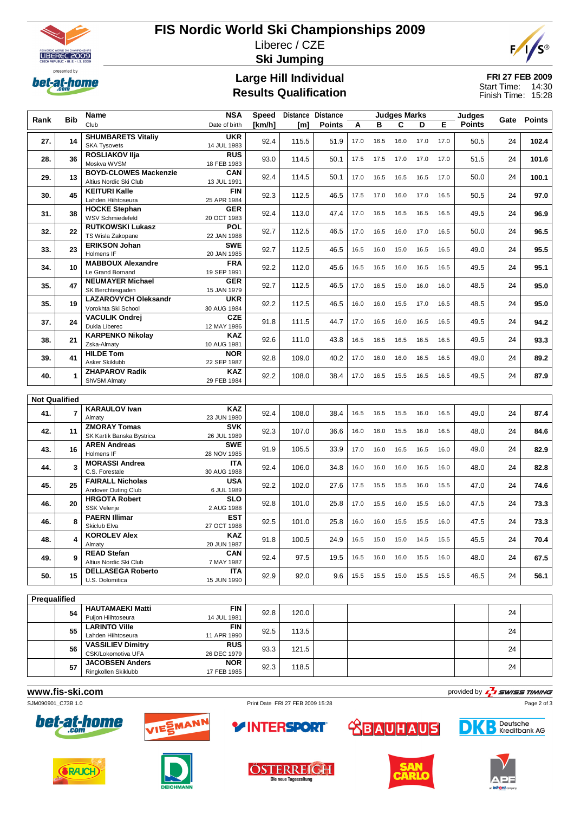

# **FIS Nordic World Ski Championships 2009** Liberec / CZE **Ski Jumping**



# **Large Hill Individual Results Qualification**

### **FRI 27 FEB 2009** Start Time: 14:30 Finish Time: 15:28

|                      |                         | <b>Name</b>                                 | <b>NSA</b>                | <b>Speed</b> |       | <b>Distance Distance</b> |      |      | <b>Judges Marks</b> |      | Judges |               |    | Gate Points |
|----------------------|-------------------------|---------------------------------------------|---------------------------|--------------|-------|--------------------------|------|------|---------------------|------|--------|---------------|----|-------------|
| Rank                 | <b>Bib</b>              | Club                                        | Date of birth             | [km/h]       | [m]   | <b>Points</b>            | A    | B    | C                   | D    | E      | <b>Points</b> |    |             |
|                      |                         | <b>SHUMBARETS Vitaliy</b>                   | <b>UKR</b>                |              |       |                          |      |      |                     |      |        |               |    |             |
| 27.                  | 14                      | <b>SKA Tysovets</b>                         | 14 JUL 1983               | 92.4         | 115.5 | 51.9                     | 17.0 | 16.5 | 16.0                | 17.0 | 17.0   | 50.5          | 24 | 102.4       |
|                      |                         | <b>ROSLIAKOV IIja</b>                       | <b>RUS</b>                |              |       |                          |      |      |                     |      |        |               |    |             |
| 28.                  | 36                      | Moskva WVSM                                 | 18 FEB 1983               | 93.0         | 114.5 | 50.1                     | 17.5 | 17.5 | 17.0                | 17.0 | 17.0   | 51.5          | 24 | 101.6       |
|                      |                         | <b>BOYD-CLOWES Mackenzie</b>                | CAN                       | 92.4         | 114.5 | 50.1                     | 17.0 |      | 16.5                |      | 17.0   | 50.0          | 24 |             |
| 29.                  | 13                      | Altius Nordic Ski Club                      | 13 JUL 1991               |              |       |                          |      | 16.5 |                     | 16.5 |        |               |    | 100.1       |
| 30.                  | 45                      | <b>KEITURI Kalle</b>                        | <b>FIN</b>                | 92.3         | 112.5 | 46.5                     | 17.5 | 17.0 | 16.0                | 17.0 | 16.5   | 50.5          | 24 | 97.0        |
|                      |                         | Lahden Hiihtoseura                          | 25 APR 1984               |              |       |                          |      |      |                     |      |        |               |    |             |
| 31.                  | 38                      | <b>HOCKE Stephan</b>                        | <b>GER</b>                | 92.4         | 113.0 | 47.4                     | 17.0 | 16.5 | 16.5                | 16.5 | 16.5   | 49.5          | 24 | 96.9        |
|                      |                         | <b>WSV Schmiedefeld</b>                     | 20 OCT 1983               |              |       |                          |      |      |                     |      |        |               |    |             |
| 32.                  | 22                      | <b>RUTKOWSKI Lukasz</b>                     | <b>POL</b>                | 92.7         | 112.5 | 46.5                     | 17.0 | 16.5 | 16.0                | 17.0 | 16.5   | 50.0          | 24 | 96.5        |
|                      |                         | TS Wisla Zakopane                           | 22 JAN 1988               |              |       |                          |      |      |                     |      |        |               |    |             |
| 33.                  | 23                      | <b>ERIKSON Johan</b>                        | <b>SWE</b>                | 92.7         | 112.5 | 46.5                     | 16.5 | 16.0 | 15.0                | 16.5 | 16.5   | 49.0          | 24 | 95.5        |
|                      |                         | Holmens IF                                  | 20 JAN 1985               |              |       |                          |      |      |                     |      |        |               |    |             |
| 34.                  | 10                      | <b>MABBOUX Alexandre</b>                    | <b>FRA</b>                | 92.2         | 112.0 | 45.6                     | 16.5 | 16.5 | 16.0                | 16.5 | 16.5   | 49.5          | 24 | 95.1        |
|                      |                         | Le Grand Bornand<br><b>NEUMAYER Michael</b> | 19 SEP 1991<br><b>GER</b> |              |       |                          |      |      |                     |      |        |               |    |             |
| 35.                  | 47                      | SK Berchtesgaden                            | 15 JAN 1979               | 92.7         | 112.5 | 46.5                     | 17.0 | 16.5 | 15.0                | 16.0 | 16.0   | 48.5          | 24 | 95.0        |
|                      |                         | <b>LAZAROVYCH Oleksandr</b>                 | <b>UKR</b>                |              |       |                          |      |      |                     |      |        |               |    |             |
| 35.                  | 19                      | Vorokhta Ski School                         | 30 AUG 1984               | 92.2         | 112.5 | 46.5                     | 16.0 | 16.0 | 15.5                | 17.0 | 16.5   | 48.5          | 24 | 95.0        |
|                      |                         | <b>VACULIK Ondrei</b>                       | <b>CZE</b>                |              |       |                          |      |      |                     |      |        |               |    |             |
| 37.                  | 24                      | Dukla Liberec                               | 12 MAY 1986               | 91.8         | 111.5 | 44.7                     | 17.0 | 16.5 | 16.0                | 16.5 | 16.5   | 49.5          | 24 | 94.2        |
|                      |                         | <b>KARPENKO Nikolay</b>                     | <b>KAZ</b>                |              |       |                          |      |      |                     |      |        |               |    |             |
| 38.                  | 21                      | Zska-Almaty                                 | 10 AUG 1981               | 92.6         | 111.0 | 43.8                     | 16.5 | 16.5 | 16.5                | 16.5 | 16.5   | 49.5          | 24 | 93.3        |
|                      |                         | <b>HILDE Tom</b>                            | <b>NOR</b>                |              |       |                          |      |      |                     |      |        |               |    |             |
| 39.                  | 41                      | Asker Skiklubb                              | 22 SEP 1987               | 92.8         | 109.0 | 40.2                     | 17.0 | 16.0 | 16.0                | 16.5 | 16.5   | 49.0          | 24 | 89.2        |
| 40.                  |                         | <b>ZHAPAROV Radik</b>                       | <b>KAZ</b>                | 92.2         | 108.0 | 38.4                     | 17.0 | 16.5 | 15.5                | 16.5 | 16.5   | 49.5          | 24 | 87.9        |
|                      | 1                       | ShVSM Almaty                                | 29 FEB 1984               |              |       |                          |      |      |                     |      |        |               |    |             |
|                      |                         |                                             |                           |              |       |                          |      |      |                     |      |        |               |    |             |
| <b>Not Qualified</b> |                         |                                             |                           |              |       |                          |      |      |                     |      |        |               |    |             |
| 41.                  | $\overline{7}$          | <b>KARAULOV Ivan</b>                        | <b>KAZ</b>                | 92.4         | 108.0 | 38.4                     | 16.5 | 16.5 | 15.5                | 16.0 | 16.5   | 49.0          | 24 | 87.4        |
|                      |                         | Almaty                                      | 23 JUN 1980               |              |       |                          |      |      |                     |      |        |               |    |             |
| 42.                  | 11                      | <b>ZMORAY Tomas</b>                         | <b>SVK</b>                | 92.3         | 107.0 | 36.6                     | 16.0 | 16.0 | 15.5                | 16.0 | 16.5   | 48.0          | 24 | 84.6        |
|                      |                         | SK Kartik Banska Bystrica                   | 26 JUL 1989               |              |       |                          |      |      |                     |      |        |               |    |             |
| 43.                  | 16                      | <b>AREN Andreas</b>                         | <b>SWE</b>                | 91.9         | 105.5 | 33.9                     | 17.0 | 16.0 | 16.5                | 16.5 | 16.0   | 49.0          | 24 | 82.9        |
|                      |                         | Holmens IF                                  | 28 NOV 1985               |              |       |                          |      |      |                     |      |        |               |    |             |
| 44.                  | 3                       | <b>MORASSI Andrea</b><br>C.S. Forestale     | <b>ITA</b><br>30 AUG 1988 | 92.4         | 106.0 | 34.8                     | 16.0 | 16.0 | 16.0                | 16.5 | 16.0   | 48.0          | 24 | 82.8        |
|                      |                         | <b>FAIRALL Nicholas</b>                     | <b>USA</b>                |              |       |                          |      |      |                     |      |        |               |    |             |
| 45.                  | 25                      | Andover Outing Club                         | 6 JUL 1989                | 92.2         | 102.0 | 27.6                     | 17.5 | 15.5 | 15.5                | 16.0 | 15.5   | 47.0          | 24 | 74.6        |
|                      |                         | <b>HRGOTA Robert</b>                        | <b>SLO</b>                |              |       |                          |      |      |                     |      |        |               |    |             |
| 46.                  | 20                      | SSK Velenje                                 | 2 AUG 1988                | 92.8         | 101.0 | 25.8                     | 17.0 | 15.5 | 16.0                | 15.5 | 16.0   | 47.5          | 24 | 73.3        |
|                      |                         | <b>PAERN Illimar</b>                        | <b>EST</b>                |              |       |                          |      |      |                     |      |        |               |    |             |
| 46.                  | 8                       | Skiclub Elva                                | 27 OCT 1988               | 92.5         | 101.0 | 25.8                     | 16.0 | 16.0 | 15.5                | 15.5 | 16.0   | 47.5          | 24 | 73.3        |
|                      |                         | <b>KOROLEV Alex</b>                         | <b>KAZ</b>                |              |       |                          |      |      |                     |      |        |               |    |             |
| 48.                  | $\overline{\mathbf{4}}$ | Almaty                                      | 20 JUN 1987               | 91.8         | 100.5 | 24.9                     | 16.5 | 15.0 | 15.0                | 14.5 | 15.5   | 45.5          | 24 | 70.4        |
| 49.                  | 9                       | <b>READ Stefan</b>                          | CAN                       | 92.4         | 97.5  | 19.5                     | 16.5 | 16.0 | 16.0                | 15.5 | 16.0   | 48.0          | 24 | 67.5        |
|                      |                         | Altius Nordic Ski Club                      | 7 MAY 1987                |              |       |                          |      |      |                     |      |        |               |    |             |
| 50.                  | 15                      | <b>DELLASEGA Roberto</b>                    | <b>ITA</b>                | 92.9         | 92.0  | 9.6                      | 15.5 | 15.5 | 15.0                | 15.5 | 15.5   | 46.5          | 24 | 56.1        |
|                      |                         | U.S. Dolomitica                             | 15 JUN 1990               |              |       |                          |      |      |                     |      |        |               |    |             |

| Prequalified |    |                                   |             |      |       |  |    |  |
|--------------|----|-----------------------------------|-------------|------|-------|--|----|--|
|              | 54 | <b>HAUTAMAEKI Matti</b>           | <b>FIN</b>  | 92.8 | 120.0 |  | 24 |  |
|              |    | Puijon Hiihtoseura<br>14 JUL 1981 |             |      |       |  |    |  |
|              | 55 | <b>LARINTO Ville</b>              | <b>FIN</b>  | 92.5 | 113.5 |  | 24 |  |
|              |    | Lahden Hiihtoseura                | 11 APR 1990 |      |       |  |    |  |
|              | 56 | <b>VASSILIEV Dimitry</b>          | <b>RUS</b>  | 93.3 | 121.5 |  | 24 |  |
|              |    | CSK/Lokomotiva UFA                | 26 DEC 1979 |      |       |  |    |  |
|              | 57 | <b>JACOBSEN Anders</b>            | <b>NOR</b>  | 92.3 | 118.5 |  | 24 |  |
|              |    | Ringkollen Skiklubb               | 17 FEB 1985 |      |       |  |    |  |
|              |    |                                   |             |      |       |  |    |  |

**WWW.fis-Ski.com**<br>
SJM090901\_C73B 1.0<br>
Print Date FRI 27 FEB 2009 15:28 Print Date FRI 27 FEB 2009 15:28 Page 2 of 3





Print Date FRI 27 FEB 2009 15:28



Deutsche<br>Bikreditbank AG D

Page 2 of 3